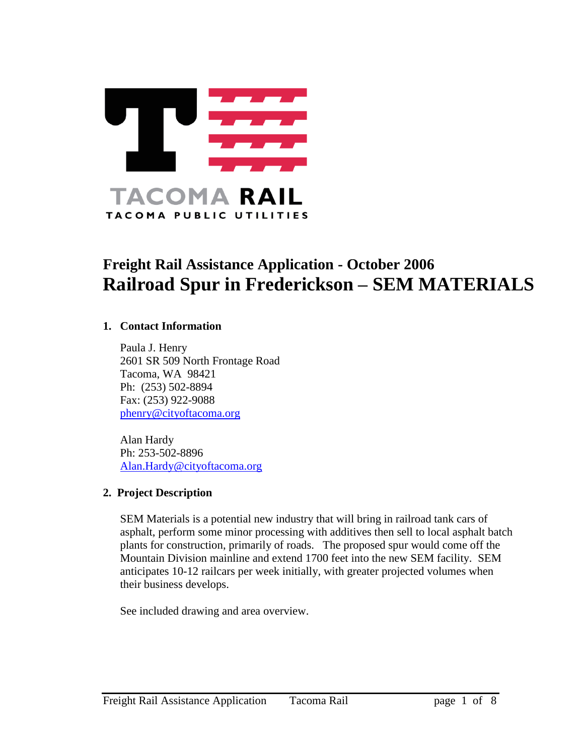

# **Freight Rail Assistance Application - October 2006 Railroad Spur in Frederickson – SEM MATERIALS**

#### **1. Contact Information**

Paula J. Henry 2601 SR 509 North Frontage Road Tacoma, WA 98421 Ph: (253) 502-8894 Fax: (253) 922-9088 [phenry@cityoftacoma.org](mailto:phenry@cityoftacoma.org)

Alan Hardy Ph: 253-502-8896 [Alan.Hardy@cityoftacoma.org](mailto:Alan.Hardy@cityoftacoma.org)

# **2. Project Description**

SEM Materials is a potential new industry that will bring in railroad tank cars of asphalt, perform some minor processing with additives then sell to local asphalt batch plants for construction, primarily of roads. The proposed spur would come off the Mountain Division mainline and extend 1700 feet into the new SEM facility. SEM anticipates 10-12 railcars per week initially, with greater projected volumes when their business develops.

See included drawing and area overview.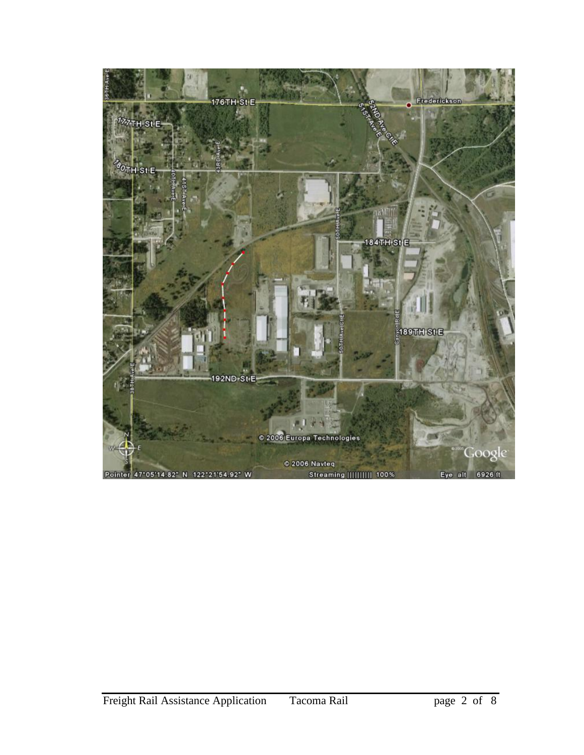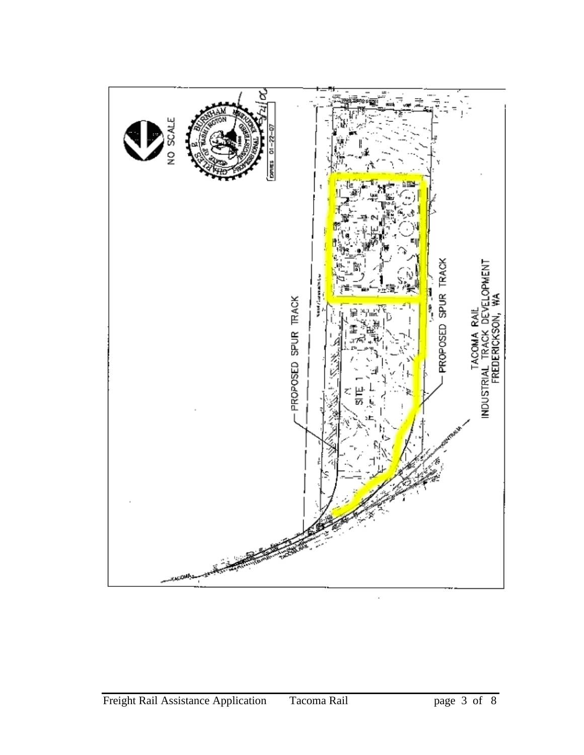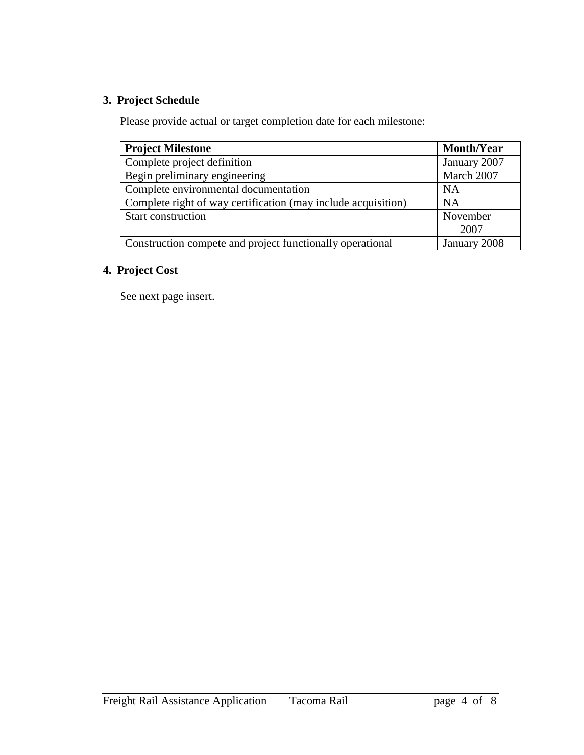# **3. Project Schedule**

Please provide actual or target completion date for each milestone:

| <b>Project Milestone</b>                                      | <b>Month/Year</b> |
|---------------------------------------------------------------|-------------------|
| Complete project definition                                   | January 2007      |
| Begin preliminary engineering                                 | March 2007        |
| Complete environmental documentation                          | <b>NA</b>         |
| Complete right of way certification (may include acquisition) | <b>NA</b>         |
| Start construction                                            | November          |
|                                                               | 2007              |
| Construction compete and project functionally operational     | January 2008      |

# **4. Project Cost**

See next page insert.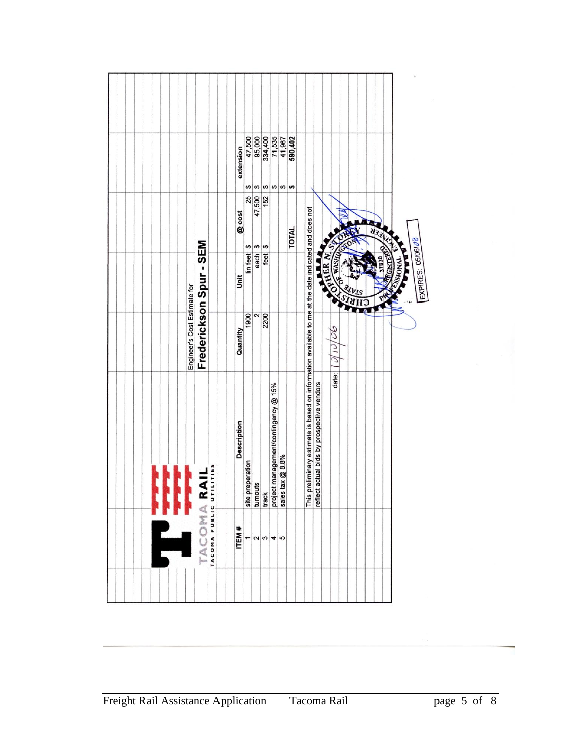| This preliminary estimate is based on information available to me at the date indicated and does not<br>@cost<br>TOTAL<br>EXPIRES: 05/06/08<br>Frederickson Spur - SEM<br>မာ<br>မာ<br>မာ<br>each<br>lin feet<br>feet<br>E<br>37830<br>GESTÉ<br><b>IONA</b><br>š<br>Jnit<br>Engineer's Cost Estimate for<br>1900<br>2<br>2200<br>Quantity<br>date:<br>reflect actual bids by prospective vendors<br>site preperation<br>turnouts<br>project management/contingency @ 15%<br>sales tax @ 8.8%<br>Description<br><b>RAIL</b> |   |                         | extension | 47,500<br>95,000<br>334,400<br>71,535<br>41,967<br>H<br>25 | ↮<br>47,500 | ↮<br>152 | s | $\boldsymbol{\varphi}$ | 590,402<br>S |  |  |  |  |
|---------------------------------------------------------------------------------------------------------------------------------------------------------------------------------------------------------------------------------------------------------------------------------------------------------------------------------------------------------------------------------------------------------------------------------------------------------------------------------------------------------------------------|---|-------------------------|-----------|------------------------------------------------------------|-------------|----------|---|------------------------|--------------|--|--|--|--|
|                                                                                                                                                                                                                                                                                                                                                                                                                                                                                                                           |   |                         |           |                                                            |             |          |   |                        |              |  |  |  |  |
|                                                                                                                                                                                                                                                                                                                                                                                                                                                                                                                           |   |                         |           |                                                            |             |          |   |                        |              |  |  |  |  |
|                                                                                                                                                                                                                                                                                                                                                                                                                                                                                                                           |   |                         |           |                                                            |             |          |   |                        |              |  |  |  |  |
|                                                                                                                                                                                                                                                                                                                                                                                                                                                                                                                           | Ľ | TACOMA<br>TACOMA PUBLIC |           |                                                            |             |          |   |                        |              |  |  |  |  |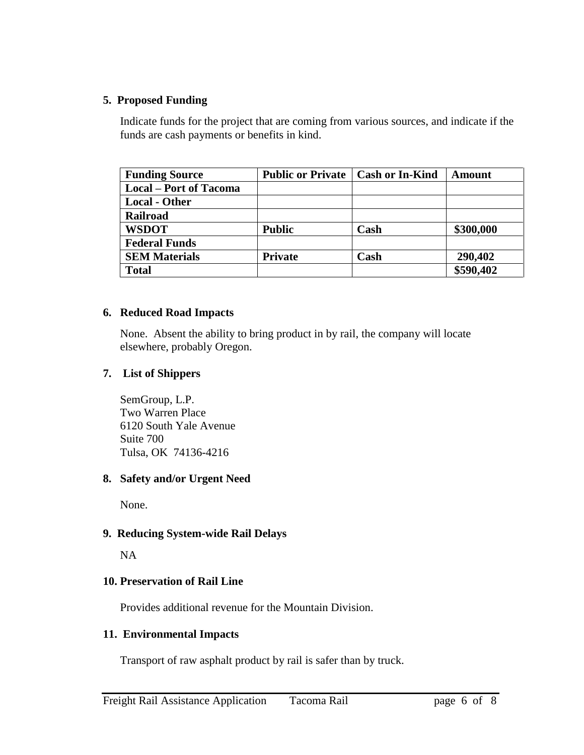#### **5. Proposed Funding**

Indicate funds for the project that are coming from various sources, and indicate if the funds are cash payments or benefits in kind.

| <b>Funding Source</b>         | <b>Public or Private</b> | <b>Cash or In-Kind</b> | <b>Amount</b> |
|-------------------------------|--------------------------|------------------------|---------------|
| <b>Local – Port of Tacoma</b> |                          |                        |               |
| <b>Local</b> - Other          |                          |                        |               |
| Railroad                      |                          |                        |               |
| <b>WSDOT</b>                  | <b>Public</b>            | Cash                   | \$300,000     |
| <b>Federal Funds</b>          |                          |                        |               |
| <b>SEM Materials</b>          | <b>Private</b>           | Cash                   | 290,402       |
| <b>Total</b>                  |                          |                        | \$590,402     |

#### **6. Reduced Road Impacts**

None. Absent the ability to bring product in by rail, the company will locate elsewhere, probably Oregon.

#### **7. List of Shippers**

SemGroup, L.P. Two Warren Place 6120 South Yale Avenue Suite 700 Tulsa, OK 74136-4216

#### **8. Safety and/or Urgent Need**

None.

# **9. Reducing System-wide Rail Delays**

NA

# **10. Preservation of Rail Line**

Provides additional revenue for the Mountain Division.

#### **11. Environmental Impacts**

Transport of raw asphalt product by rail is safer than by truck.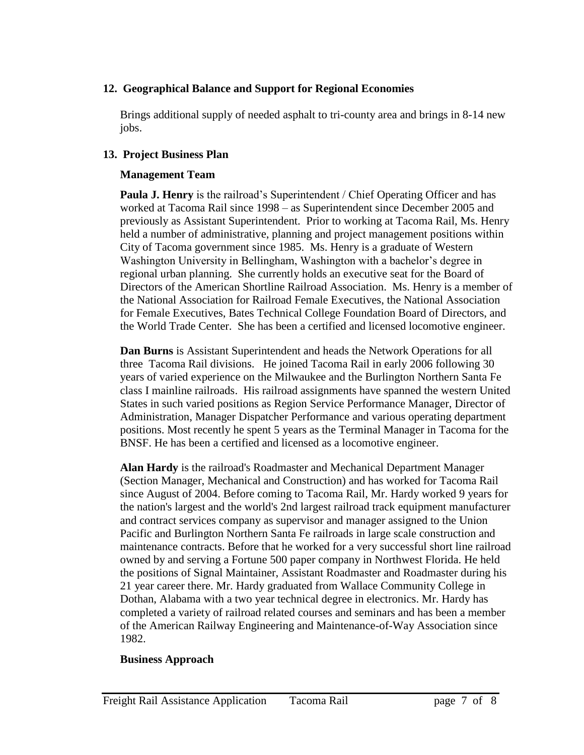# **12. Geographical Balance and Support for Regional Economies**

Brings additional supply of needed asphalt to tri-county area and brings in 8-14 new jobs.

#### **13. Project Business Plan**

#### **Management Team**

**Paula J. Henry** is the railroad's Superintendent / Chief Operating Officer and has worked at Tacoma Rail since 1998 – as Superintendent since December 2005 and previously as Assistant Superintendent. Prior to working at Tacoma Rail, Ms. Henry held a number of administrative, planning and project management positions within City of Tacoma government since 1985. Ms. Henry is a graduate of Western Washington University in Bellingham, Washington with a bachelor's degree in regional urban planning. She currently holds an executive seat for the Board of Directors of the American Shortline Railroad Association. Ms. Henry is a member of the National Association for Railroad Female Executives, the National Association for Female Executives, Bates Technical College Foundation Board of Directors, and the World Trade Center. She has been a certified and licensed locomotive engineer.

**Dan Burns** is Assistant Superintendent and heads the Network Operations for all three Tacoma Rail divisions. He joined Tacoma Rail in early 2006 following 30 years of varied experience on the Milwaukee and the Burlington Northern Santa Fe class I mainline railroads. His railroad assignments have spanned the western United States in such varied positions as Region Service Performance Manager, Director of Administration, Manager Dispatcher Performance and various operating department positions. Most recently he spent 5 years as the Terminal Manager in Tacoma for the BNSF. He has been a certified and licensed as a locomotive engineer.

**Alan Hardy** is the railroad's Roadmaster and Mechanical Department Manager (Section Manager, Mechanical and Construction) and has worked for Tacoma Rail since August of 2004. Before coming to Tacoma Rail, Mr. Hardy worked 9 years for the nation's largest and the world's 2nd largest railroad track equipment manufacturer and contract services company as supervisor and manager assigned to the Union Pacific and Burlington Northern Santa Fe railroads in large scale construction and maintenance contracts. Before that he worked for a very successful short line railroad owned by and serving a Fortune 500 paper company in Northwest Florida. He held the positions of Signal Maintainer, Assistant Roadmaster and Roadmaster during his 21 year career there. Mr. Hardy graduated from Wallace Community College in Dothan, Alabama with a two year technical degree in electronics. Mr. Hardy has completed a variety of railroad related courses and seminars and has been a member of the American Railway Engineering and Maintenance-of-Way Association since 1982.

#### **Business Approach**